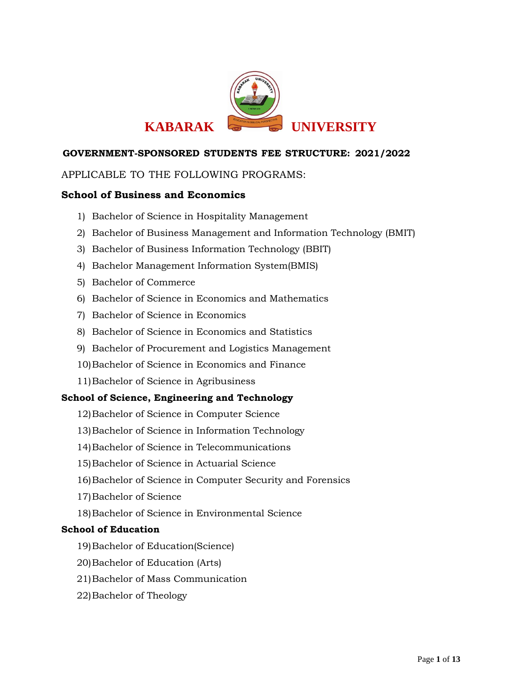

# APPLICABLE TO THE FOLLOWING PROGRAMS:

# **School of Business and Economics**

- 1) Bachelor of Science in Hospitality Management
- 2) Bachelor of Business Management and Information Technology (BMIT)
- 3) Bachelor of Business Information Technology (BBIT)
- 4) Bachelor Management Information System(BMIS)
- 5) Bachelor of Commerce
- 6) Bachelor of Science in Economics and Mathematics
- 7) Bachelor of Science in Economics
- 8) Bachelor of Science in Economics and Statistics
- 9) Bachelor of Procurement and Logistics Management
- 10)Bachelor of Science in Economics and Finance
- 11)Bachelor of Science in Agribusiness

# **School of Science, Engineering and Technology**

- 12)Bachelor of Science in Computer Science
- 13)Bachelor of Science in Information Technology
- 14)Bachelor of Science in Telecommunications
- 15)Bachelor of Science in Actuarial Science
- 16)Bachelor of Science in Computer Security and Forensics
- 17)Bachelor of Science
- 18)Bachelor of Science in Environmental Science

# **School of Education**

- 19)Bachelor of Education(Science)
- 20)Bachelor of Education (Arts)
- 21)Bachelor of Mass Communication
- 22)Bachelor of Theology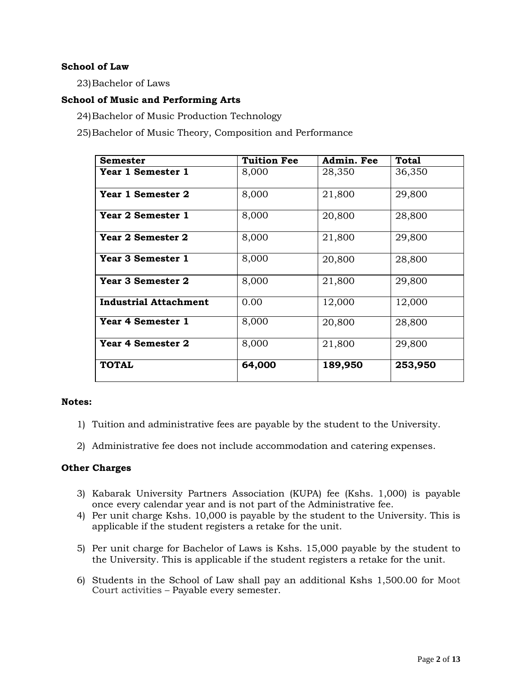# **School of Law**

23)Bachelor of Laws

# **School of Music and Performing Arts**

24)Bachelor of Music Production Technology

25)Bachelor of Music Theory, Composition and Performance

| <b>Semester</b>              | <b>Tuition Fee</b> | Admin. Fee | <b>Total</b> |
|------------------------------|--------------------|------------|--------------|
| Year 1 Semester 1            | 8,000              | 28,350     | 36,350       |
| Year 1 Semester 2            | 8,000              | 21,800     | 29,800       |
| Year 2 Semester 1            | 8,000              | 20,800     | 28,800       |
| Year 2 Semester 2            | 8,000              | 21,800     | 29,800       |
| <b>Year 3 Semester 1</b>     | 8,000              | 20,800     | 28,800       |
| Year 3 Semester 2            | 8,000              | 21,800     | 29,800       |
| <b>Industrial Attachment</b> | 0.00               | 12,000     | 12,000       |
| <b>Year 4 Semester 1</b>     | 8,000              | 20,800     | 28,800       |
| <b>Year 4 Semester 2</b>     | 8,000              | 21,800     | 29,800       |
| <b>TOTAL</b>                 | 64,000             | 189,950    | 253,950      |

## **Notes:**

- 1) Tuition and administrative fees are payable by the student to the University.
- 2) Administrative fee does not include accommodation and catering expenses.

## **Other Charges**

- 3) Kabarak University Partners Association (KUPA) fee (Kshs. 1,000) is payable once every calendar year and is not part of the Administrative fee.
- 4) Per unit charge Kshs. 10,000 is payable by the student to the University. This is applicable if the student registers a retake for the unit.
- 5) Per unit charge for Bachelor of Laws is Kshs. 15,000 payable by the student to the University. This is applicable if the student registers a retake for the unit.
- 6) Students in the School of Law shall pay an additional Kshs 1,500.00 for Moot Court activities – Payable every semester.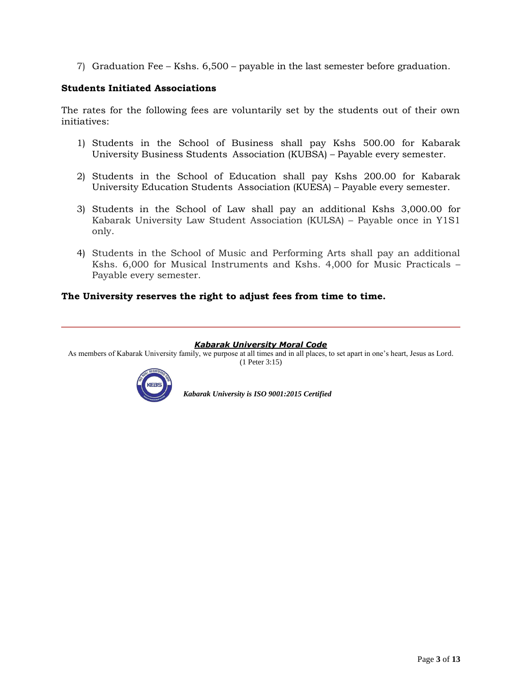7) Graduation Fee – Kshs. 6,500 – payable in the last semester before graduation.

# **Students Initiated Associations**

The rates for the following fees are voluntarily set by the students out of their own initiatives:

- 1) Students in the School of Business shall pay Kshs 500.00 for Kabarak University Business Students Association (KUBSA) – Payable every semester.
- 2) Students in the School of Education shall pay Kshs 200.00 for Kabarak University Education Students Association (KUESA) – Payable every semester.
- 3) Students in the School of Law shall pay an additional Kshs 3,000.00 for Kabarak University Law Student Association (KULSA) – Payable once in Y1S1 only.
- 4) Students in the School of Music and Performing Arts shall pay an additional Kshs. 6,000 for Musical Instruments and Kshs. 4,000 for Music Practicals – Payable every semester.

# **The University reserves the right to adjust fees from time to time.**

#### *Kabarak University Moral Code*

As members of Kabarak University family, we purpose at all times and in all places, to set apart in one's heart, Jesus as Lord. (1 Peter 3:15)

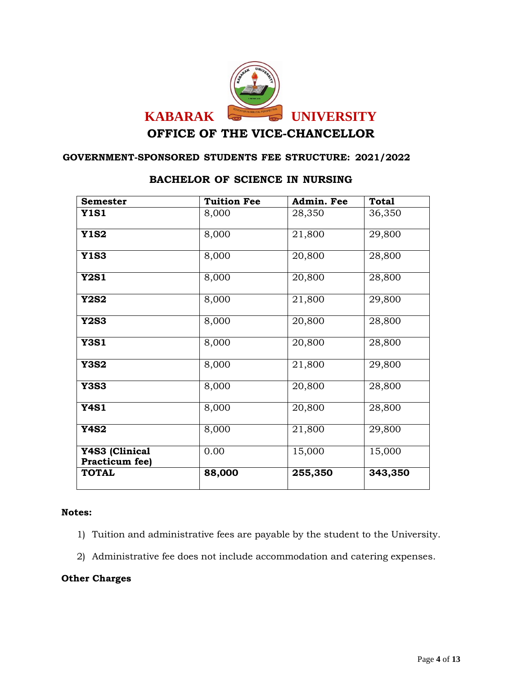

| <b>Semester</b>                  | <b>Tuition Fee</b> | Admin. Fee | <b>Total</b> |
|----------------------------------|--------------------|------------|--------------|
| <b>Y1S1</b>                      | 8,000              | 28,350     | 36,350       |
| <b>Y1S2</b>                      | 8,000              | 21,800     | 29,800       |
| <b>Y1S3</b>                      | 8,000              | 20,800     | 28,800       |
| <b>Y2S1</b>                      | 8,000              | 20,800     | 28,800       |
| <b>Y2S2</b>                      | 8,000              | 21,800     | 29,800       |
| <b>Y2S3</b>                      | 8,000              | 20,800     | 28,800       |
| <b>Y3S1</b>                      | 8,000              | 20,800     | 28,800       |
| <b>Y3S2</b>                      | 8,000              | 21,800     | 29,800       |
| <b>Y3S3</b>                      | 8,000              | 20,800     | 28,800       |
| <b>Y4S1</b>                      | 8,000              | 20,800     | 28,800       |
| <b>Y4S2</b>                      | 8,000              | 21,800     | 29,800       |
| Y4S3 (Clinical<br>Practicum fee) | 0.00               | 15,000     | 15,000       |
| <b>TOTAL</b>                     | 88,000             | 255,350    | 343,350      |

# **BACHELOR OF SCIENCE IN NURSING**

# **Notes:**

- 1) Tuition and administrative fees are payable by the student to the University.
- 2) Administrative fee does not include accommodation and catering expenses.

# **Other Charges**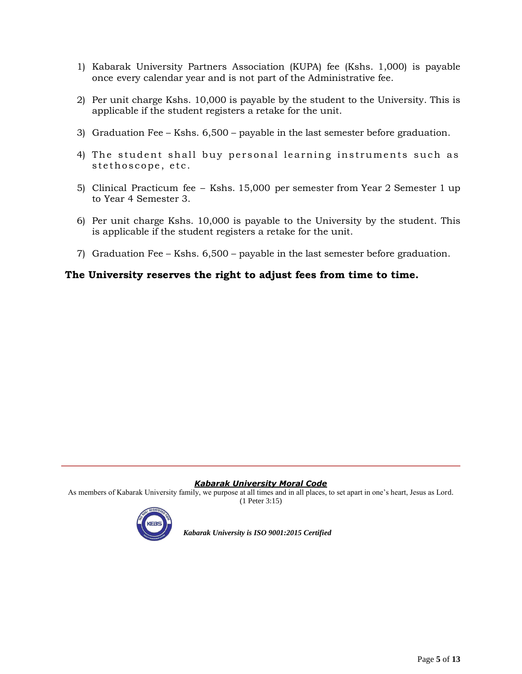- 1) Kabarak University Partners Association (KUPA) fee (Kshs. 1,000) is payable once every calendar year and is not part of the Administrative fee.
- 2) Per unit charge Kshs. 10,000 is payable by the student to the University. This is applicable if the student registers a retake for the unit.
- 3) Graduation Fee Kshs. 6,500 payable in the last semester before graduation.
- 4) The student shall buy personal learning instruments such as stethoscope, etc.
- 5) Clinical Practicum fee Kshs. 15,000 per semester from Year 2 Semester 1 up to Year 4 Semester 3.
- 6) Per unit charge Kshs. 10,000 is payable to the University by the student. This is applicable if the student registers a retake for the unit.
- 7) Graduation Fee Kshs. 6,500 payable in the last semester before graduation.

# **The University reserves the right to adjust fees from time to time.**

#### *Kabarak University Moral Code*

As members of Kabarak University family, we purpose at all times and in all places, to set apart in one's heart, Jesus as Lord. (1 Peter 3:15)

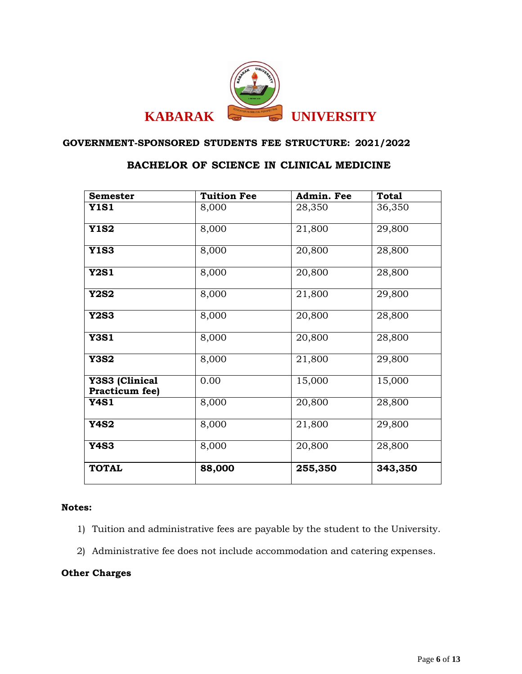

# **BACHELOR OF SCIENCE IN CLINICAL MEDICINE**

| <b>Semester</b>                  | <b>Tuition Fee</b> | Admin. Fee          | <b>Total</b> |
|----------------------------------|--------------------|---------------------|--------------|
| <b>Y1S1</b>                      | 8,000              | 28,350              | 36,350       |
| <b>Y1S2</b>                      | 8,000              | $\overline{21,800}$ | 29,800       |
| <b>Y1S3</b>                      | 8,000              | 20,800              | 28,800       |
| <b>Y2S1</b>                      | 8,000              | $\overline{20,}800$ | 28,800       |
| <b>Y2S2</b>                      | 8,000              | 21,800              | 29,800       |
| <b>Y2S3</b>                      | 8,000              | 20,800              | 28,800       |
| <b>Y3S1</b>                      | 8,000              | 20,800              | 28,800       |
| <b>Y3S2</b>                      | 8,000              | 21,800              | 29,800       |
| Y3S3 (Clinical<br>Practicum fee) | 0.00               | 15,000              | 15,000       |
| <b>Y4S1</b>                      | 8,000              | 20,800              | 28,800       |
| <b>Y4S2</b>                      | 8,000              | 21,800              | 29,800       |
| <b>Y4S3</b>                      | 8,000              | 20,800              | 28,800       |
| <b>TOTAL</b>                     | 88,000             | 255,350             | 343,350      |

# **Notes:**

- 1) Tuition and administrative fees are payable by the student to the University.
- 2) Administrative fee does not include accommodation and catering expenses.

# **Other Charges**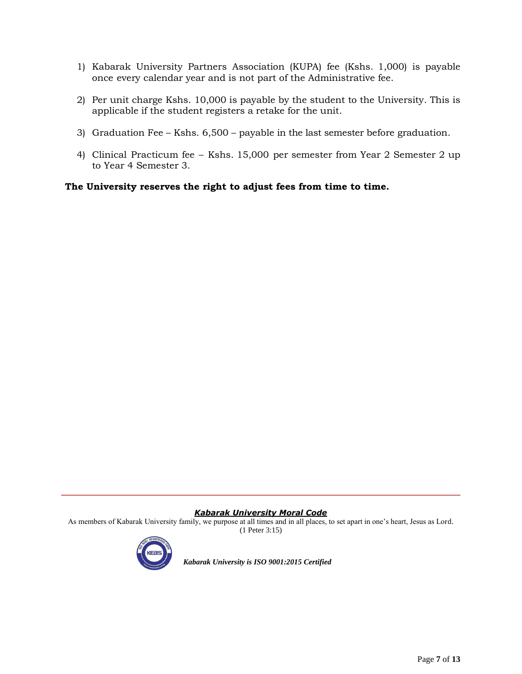- 1) Kabarak University Partners Association (KUPA) fee (Kshs. 1,000) is payable once every calendar year and is not part of the Administrative fee.
- 2) Per unit charge Kshs. 10,000 is payable by the student to the University. This is applicable if the student registers a retake for the unit.
- 3) Graduation Fee Kshs. 6,500 payable in the last semester before graduation.
- 4) Clinical Practicum fee Kshs. 15,000 per semester from Year 2 Semester 2 up to Year 4 Semester 3.

**The University reserves the right to adjust fees from time to time.**

#### *Kabarak University Moral Code*

As members of Kabarak University family, we purpose at all times and in all places, to set apart in one's heart, Jesus as Lord. (1 Peter 3:15)

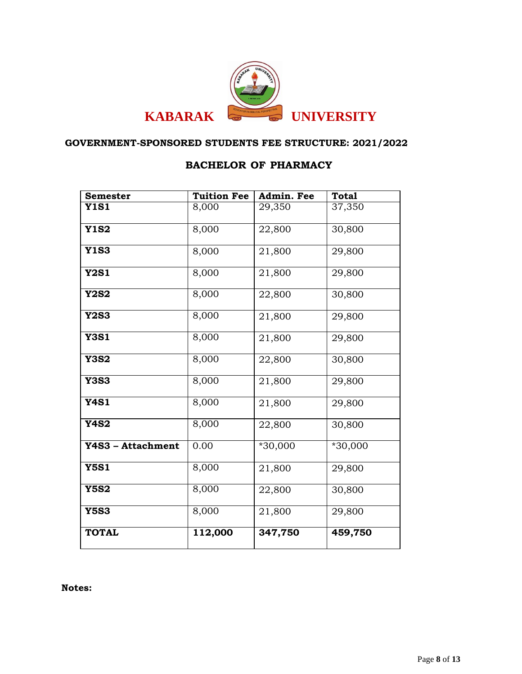

# **BACHELOR OF PHARMACY**

| <b>Semester</b>   | <b>Tuition Fee</b> | Admin. Fee | <b>Total</b> |
|-------------------|--------------------|------------|--------------|
| <b>Y1S1</b>       | 8,000              | 29,350     | 37,350       |
| <b>Y1S2</b>       | 8,000              | 22,800     | 30,800       |
| <b>Y1S3</b>       | 8,000              | 21,800     | 29,800       |
| <b>Y2S1</b>       | 8,000              | 21,800     | 29,800       |
| <b>Y2S2</b>       | 8,000              | 22,800     | 30,800       |
| <b>Y2S3</b>       | 8,000              | 21,800     | 29,800       |
| <b>Y3S1</b>       | 8,000              | 21,800     | 29,800       |
| <b>Y3S2</b>       | 8,000              | 22,800     | 30,800       |
| <b>Y3S3</b>       | 8,000              | 21,800     | 29,800       |
| <b>Y4S1</b>       | 8,000              | 21,800     | 29,800       |
| <b>Y4S2</b>       | 8,000              | 22,800     | 30,800       |
| Y4S3 - Attachment | 0.00               | $*30,000$  | $*30,000$    |
| <b>Y5S1</b>       | 8,000              | 21,800     | 29,800       |
| <b>Y5S2</b>       | 8,000              | 22,800     | 30,800       |
| <b>Y5S3</b>       | 8,000              | 21,800     | 29,800       |
| <b>TOTAL</b>      | 112,000            | 347,750    | 459,750      |

**Notes:**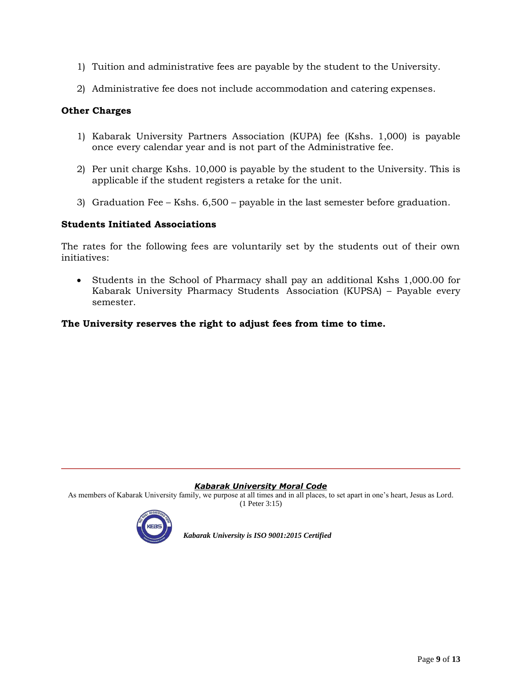- 1) Tuition and administrative fees are payable by the student to the University.
- 2) Administrative fee does not include accommodation and catering expenses.

# **Other Charges**

- 1) Kabarak University Partners Association (KUPA) fee (Kshs. 1,000) is payable once every calendar year and is not part of the Administrative fee.
- 2) Per unit charge Kshs. 10,000 is payable by the student to the University. This is applicable if the student registers a retake for the unit.
- 3) Graduation Fee Kshs. 6,500 payable in the last semester before graduation.

# **Students Initiated Associations**

The rates for the following fees are voluntarily set by the students out of their own initiatives:

 Students in the School of Pharmacy shall pay an additional Kshs 1,000.00 for Kabarak University Pharmacy Students Association (KUPSA) – Payable every semester.

# **The University reserves the right to adjust fees from time to time.**

## *Kabarak University Moral Code*

As members of Kabarak University family, we purpose at all times and in all places, to set apart in one's heart, Jesus as Lord. (1 Peter 3:15)

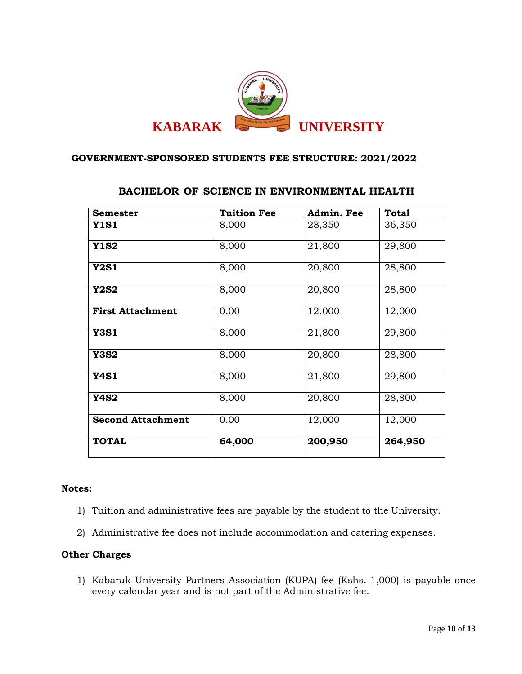

| <b>Semester</b>          | <b>Tuition Fee</b> | Admin. Fee          | <b>Total</b> |
|--------------------------|--------------------|---------------------|--------------|
| <b>Y1S1</b>              | 8,000              | 28,350              | 36,350       |
| <b>Y1S2</b>              | 8,000              | 21,800              | 29,800       |
| <b>Y2S1</b>              | 8,000              | 20,800              | 28,800       |
| <b>Y2S2</b>              | 8,000              | 20,800              | 28,800       |
| <b>First Attachment</b>  | 0.00               | 12,000              | 12,000       |
| <b>Y3S1</b>              | 8,000              | 21,800              | 29,800       |
| <b>Y3S2</b>              | 8,000              | 20,800              | 28,800       |
| <b>Y4S1</b>              | 8,000              | $\overline{2}1,800$ | 29,800       |
| <b>Y4S2</b>              | 8,000              | 20,800              | 28,800       |
| <b>Second Attachment</b> | 0.00               | 12,000              | 12,000       |
| <b>TOTAL</b>             | 64,000             | 200,950             | 264,950      |

# **BACHELOR OF SCIENCE IN ENVIRONMENTAL HEALTH**

## **Notes:**

- 1) Tuition and administrative fees are payable by the student to the University.
- 2) Administrative fee does not include accommodation and catering expenses.

# **Other Charges**

1) Kabarak University Partners Association (KUPA) fee (Kshs. 1,000) is payable once every calendar year and is not part of the Administrative fee.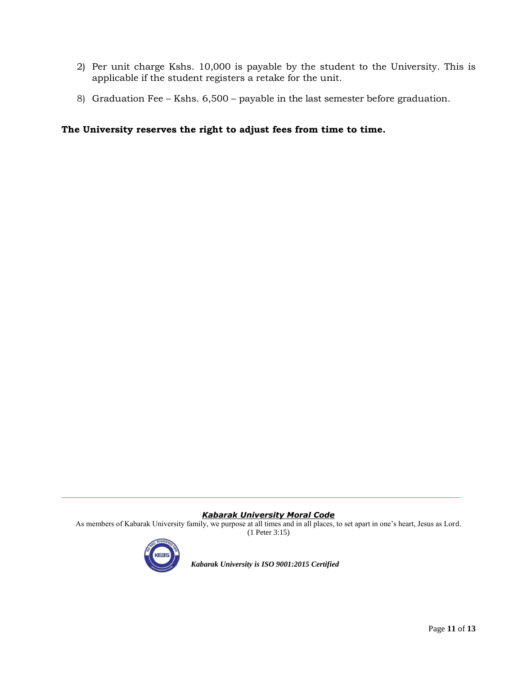- 2) Per unit charge Kshs. 10,000 is payable by the student to the University. This is applicable if the student registers a retake for the unit.
- 8) Graduation Fee Kshs. 6,500 payable in the last semester before graduation.

# **The University reserves the right to adjust fees from time to time.**

#### *Kabarak University Moral Code*

As members of Kabarak University family, we purpose at all times and in all places, to set apart in one's heart, Jesus as Lord. (1 Peter 3:15)

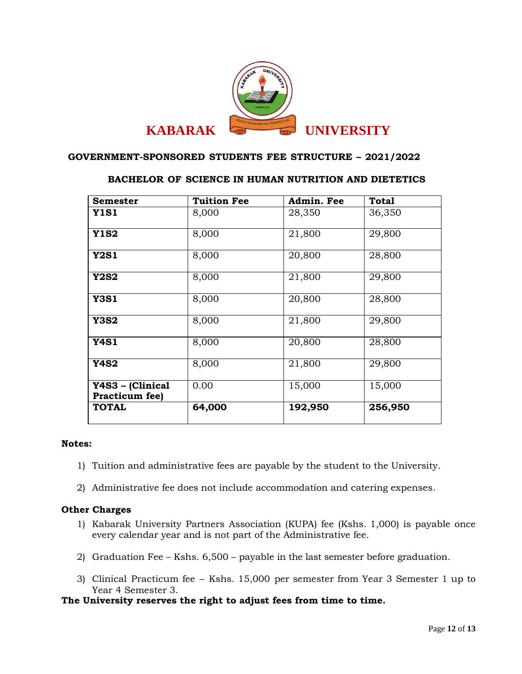

# **BACHELOR OF SCIENCE IN HUMAN NUTRITION AND DIETETICS**

| <b>Semester</b>                    | <b>Tuition Fee</b> | Admin. Fee | <b>Total</b> |
|------------------------------------|--------------------|------------|--------------|
| <b>Y1S1</b>                        | 8,000              | 28,350     | 36,350       |
| <b>Y1S2</b>                        | 8,000              | 21,800     | 29,800       |
| <b>Y2S1</b>                        | 8,000              | 20,800     | 28,800       |
| <b>Y2S2</b>                        | 8,000              | 21,800     | 29,800       |
| <b>Y3S1</b>                        | 8,000              | 20,800     | 28,800       |
| <b>Y3S2</b>                        | 8,000              | 21,800     | 29,800       |
| <b>Y4S1</b>                        | 8,000              | 20,800     | 28,800       |
| <b>Y4S2</b>                        | 8,000              | 21,800     | 29,800       |
| Y4S3 - (Clinical<br>Practicum fee) | 0.00               | 15,000     | 15,000       |
| <b>TOTAL</b>                       | 64,000             | 192,950    | 256,950      |

#### **Notes:**

- 1) Tuition and administrative fees are payable by the student to the University.
- 2) Administrative fee does not include accommodation and catering expenses.

## **Other Charges**

- 1) Kabarak University Partners Association (KUPA) fee (Kshs. 1,000) is payable once every calendar year and is not part of the Administrative fee.
- 2) Graduation Fee Kshs. 6,500 payable in the last semester before graduation.
- 3) Clinical Practicum fee Kshs. 15,000 per semester from Year 3 Semester 1 up to Year 4 Semester 3.

## **The University reserves the right to adjust fees from time to time.**